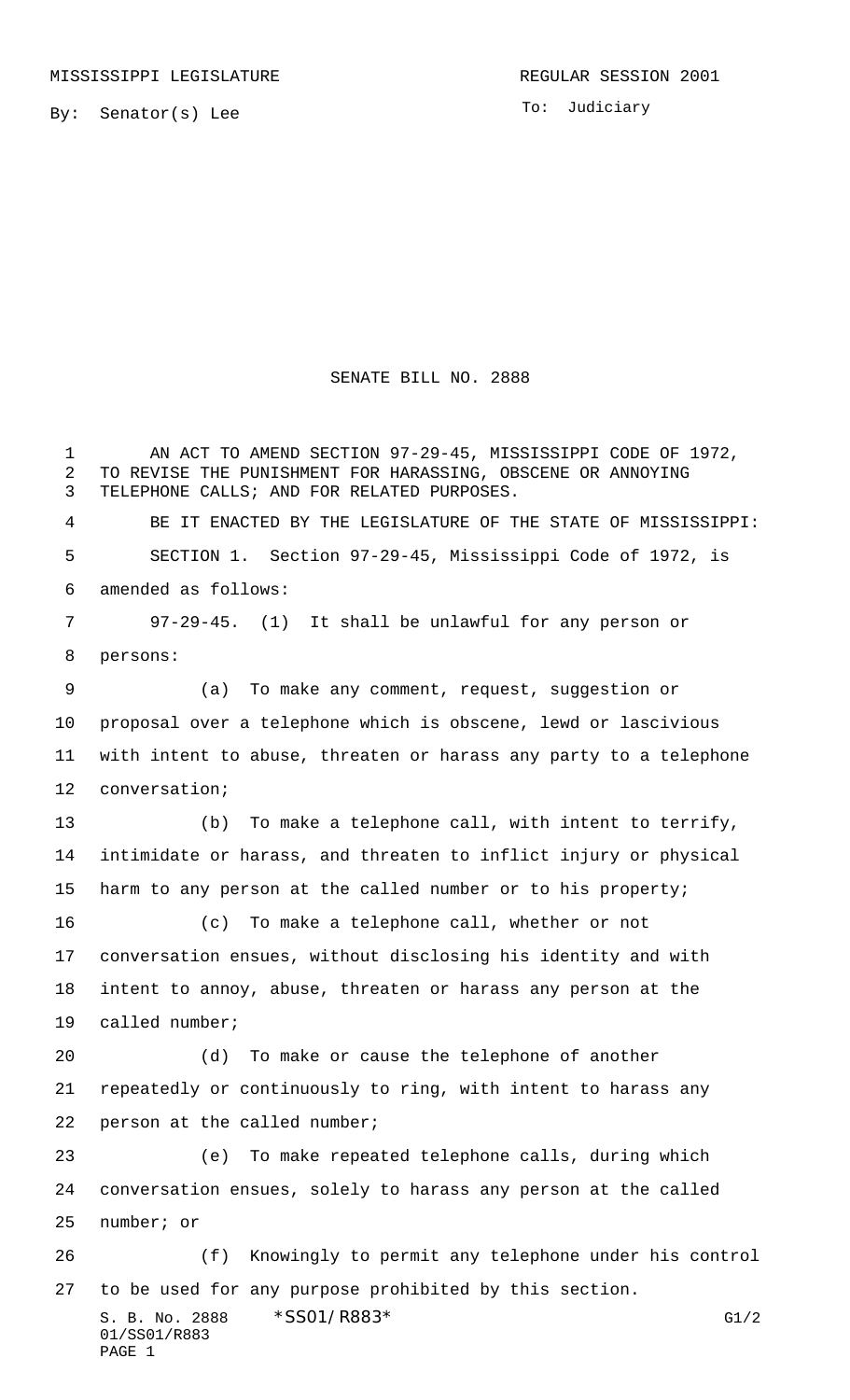By: Senator(s) Lee

To: Judiciary

## SENATE BILL NO. 2888

S. B. No. 2888 \* SS01/R883\* G1/2 01/SS01/R883 PAGE 1 1 AN ACT TO AMEND SECTION 97-29-45, MISSISSIPPI CODE OF 1972, TO REVISE THE PUNISHMENT FOR HARASSING, OBSCENE OR ANNOYING TELEPHONE CALLS; AND FOR RELATED PURPOSES. BE IT ENACTED BY THE LEGISLATURE OF THE STATE OF MISSISSIPPI: SECTION 1. Section 97-29-45, Mississippi Code of 1972, is amended as follows: 97-29-45. (1) It shall be unlawful for any person or persons: (a) To make any comment, request, suggestion or proposal over a telephone which is obscene, lewd or lascivious with intent to abuse, threaten or harass any party to a telephone conversation; (b) To make a telephone call, with intent to terrify, intimidate or harass, and threaten to inflict injury or physical harm to any person at the called number or to his property; (c) To make a telephone call, whether or not conversation ensues, without disclosing his identity and with intent to annoy, abuse, threaten or harass any person at the called number; (d) To make or cause the telephone of another repeatedly or continuously to ring, with intent to harass any person at the called number; (e) To make repeated telephone calls, during which conversation ensues, solely to harass any person at the called number; or (f) Knowingly to permit any telephone under his control to be used for any purpose prohibited by this section.